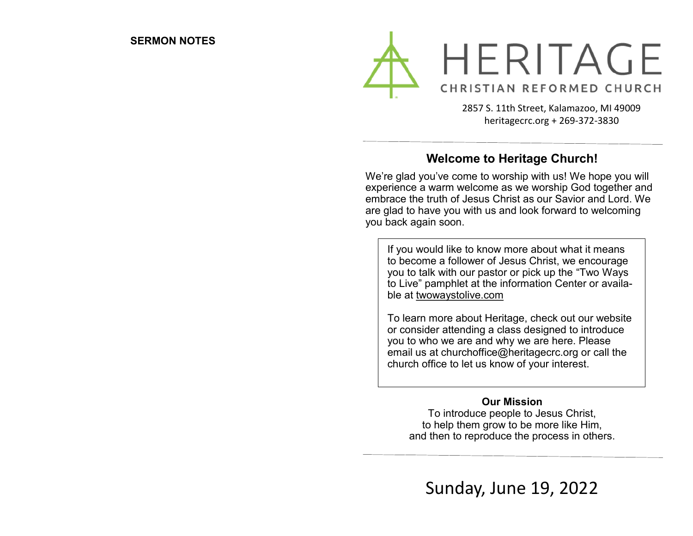

2857 S. 11th Street, Kalamazoo, MI 49009 heritagecrc.org + 269-372-3830

## **Welcome to Heritage Church!**

We're glad you've come to worship with us! We hope you will experience a warm welcome as we worship God together and embrace the truth of Jesus Christ as our Savior and Lord. We are glad to have you with us and look forward to welcoming you back again soon.

If you would like to know more about what it means to become a follower of Jesus Christ, we encourage you to talk with our pastor or pick up the "Two Ways to Live" pamphlet at the information Center or available at twowaystolive.com

To learn more about Heritage, check out our website or consider attending a class designed to introduce you to who we are and why we are here. Please email us at churchoffice@heritagecrc.org or call the church office to let us know of your interest.

#### **Our Mission**

To introduce people to Jesus Christ, to help them grow to be more like Him, and then to reproduce the process in others.

Sunday, June 19, 2022